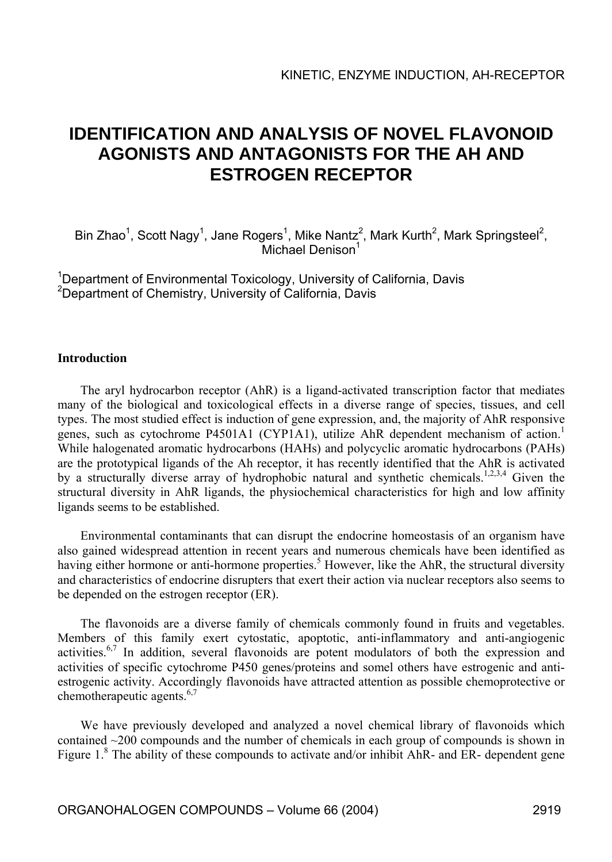# **IDENTIFICATION AND ANALYSIS OF NOVEL FLAVONOID AGONISTS AND ANTAGONISTS FOR THE AH AND ESTROGEN RECEPTOR**

Bin Zhao<sup>1</sup>, Scott Nagy<sup>1</sup>, Jane Rogers<sup>1</sup>, Mike Nantz<sup>2</sup>, Mark Kurth<sup>2</sup>, Mark Springsteel<sup>2</sup>, Michael Denison<sup>1</sup>

<sup>1</sup>Department of Environmental Toxicology, University of California, Davis <sup>2</sup>Department of Chemistry, University of California, Davis

#### **Introduction**

The aryl hydrocarbon receptor (AhR) is a ligand-activated transcription factor that mediates many of the biological and toxicological effects in a diverse range of species, tissues, and cell types. The most studied effect is induction of gene expression, and, the majority of AhR responsive genes, such as cytochrome P4501A1 (CYP1A1), utilize AhR dependent mechanism of action.<sup>1</sup> While halogenated aromatic hydrocarbons (HAHs) and polycyclic aromatic hydrocarbons (PAHs) are the prototypical ligands of the Ah receptor, it has recently identified that the AhR is activated by a structurally diverse array of hydrophobic natural and synthetic chemicals.<sup>1,2,3,4</sup> Given the structural diversity in AhR ligands, the physiochemical characteristics for high and low affinity ligands seems to be established.

Environmental contaminants that can disrupt the endocrine homeostasis of an organism have also gained widespread attention in recent years and numerous chemicals have been identified as having either hormone or anti-hormone properties.<sup>5</sup> However, like the AhR, the structural diversity and characteristics of endocrine disrupters that exert their action via nuclear receptors also seems to be depended on the estrogen receptor (ER).

The flavonoids are a diverse family of chemicals commonly found in fruits and vegetables. Members of this family exert cytostatic, apoptotic, anti-inflammatory and anti-angiogenic activities.6,7 In addition, several flavonoids are potent modulators of both the expression and activities of specific cytochrome P450 genes/proteins and somel others have estrogenic and antiestrogenic activity. Accordingly flavonoids have attracted attention as possible chemoprotective or chemotherapeutic agents. $6,7$ 

We have previously developed and analyzed a novel chemical library of flavonoids which contained  $\sim$ 200 compounds and the number of chemicals in each group of compounds is shown in Figure 1.<sup>8</sup> The ability of these compounds to activate and/or inhibit AhR- and ER- dependent gene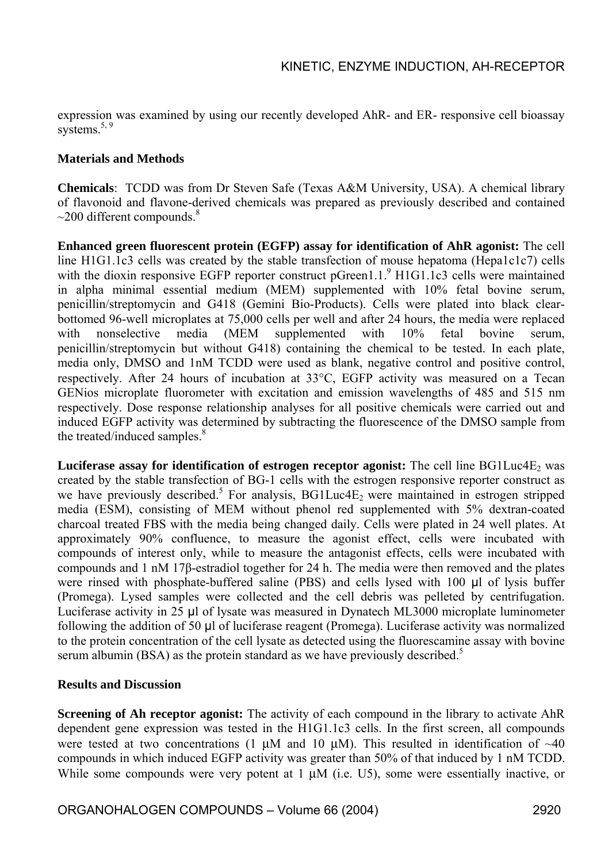expression was examined by using our recently developed AhR- and ER- responsive cell bioassay systems.<sup>5, 9</sup>

### **Materials and Methods**

**Chemicals**: TCDD was from Dr Steven Safe (Texas A&M University, USA). A chemical library of flavonoid and flavone-derived chemicals was prepared as previously described and contained  $\sim$ 200 different compounds.<sup>8</sup>

**Enhanced green fluorescent protein (EGFP) assay for identification of AhR agonist:** The cell line H1G1.1c3 cells was created by the stable transfection of mouse hepatoma (Hepa1c1c7) cells with the dioxin responsive EGFP reporter construct pGreen1.1.<sup>9</sup> H1G1.1c3 cells were maintained in alpha minimal essential medium (MEM) supplemented with 10% fetal bovine serum, penicillin/streptomycin and G418 (Gemini Bio-Products). Cells were plated into black clearbottomed 96-well microplates at 75,000 cells per well and after 24 hours, the media were replaced with nonselective media (MEM supplemented with 10% fetal bovine serum, penicillin/streptomycin but without G418) containing the chemical to be tested. In each plate, media only, DMSO and 1nM TCDD were used as blank, negative control and positive control, respectively. After 24 hours of incubation at 33°C, EGFP activity was measured on a Tecan GENios microplate fluorometer with excitation and emission wavelengths of 485 and 515 nm respectively. Dose response relationship analyses for all positive chemicals were carried out and induced EGFP activity was determined by subtracting the fluorescence of the DMSO sample from the treated/induced samples.<sup>8</sup>

**Luciferase assay for identification of estrogen receptor agonist:** The cell line BG1Luc4E<sub>2</sub> was created by the stable transfection of BG-1 cells with the estrogen responsive reporter construct as we have previously described.<sup>5</sup> For analysis,  $BGLuc4E<sub>2</sub>$  were maintained in estrogen stripped media (ESM), consisting of MEM without phenol red supplemented with 5% dextran-coated charcoal treated FBS with the media being changed daily. Cells were plated in 24 well plates. At approximately 90% confluence, to measure the agonist effect, cells were incubated with compounds of interest only, while to measure the antagonist effects, cells were incubated with compounds and 1 nM 17β-estradiol together for 24 h. The media were then removed and the plates were rinsed with phosphate-buffered saline (PBS) and cells lysed with 100 µl of lysis buffer (Promega). Lysed samples were collected and the cell debris was pelleted by centrifugation. Luciferase activity in 25 µl of lysate was measured in Dynatech ML3000 microplate luminometer following the addition of 50 µl of luciferase reagent (Promega). Luciferase activity was normalized to the protein concentration of the cell lysate as detected using the fluorescamine assay with bovine serum albumin (BSA) as the protein standard as we have previously described.<sup>5</sup>

#### **Results and Discussion**

**Screening of Ah receptor agonist:** The activity of each compound in the library to activate AhR dependent gene expression was tested in the H1G1.1c3 cells. In the first screen, all compounds were tested at two concentrations (1  $\mu$ M and 10  $\mu$ M). This resulted in identification of ~40 compounds in which induced EGFP activity was greater than 50% of that induced by 1 nM TCDD. While some compounds were very potent at 1  $\mu$ M (i.e. U5), some were essentially inactive, or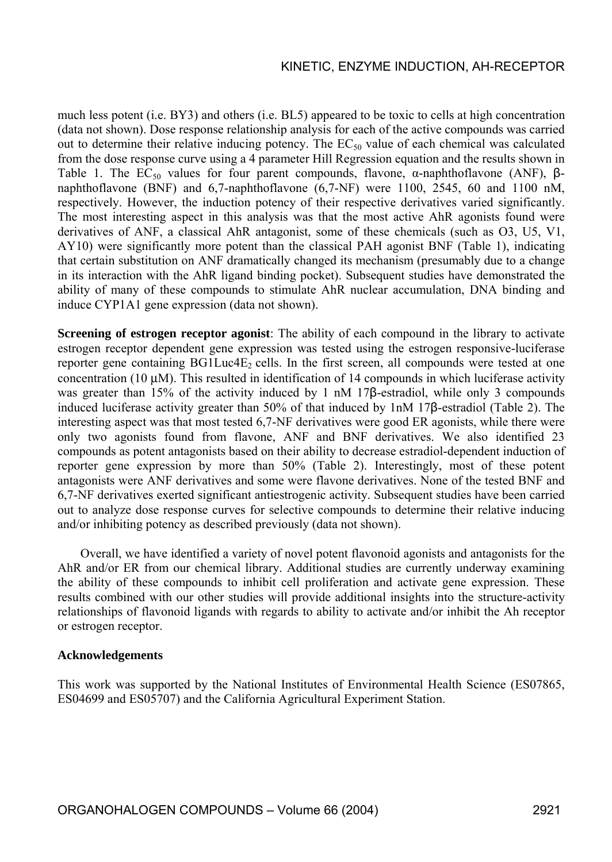much less potent (i.e. BY3) and others (i.e. BL5) appeared to be toxic to cells at high concentration (data not shown). Dose response relationship analysis for each of the active compounds was carried out to determine their relative inducing potency. The  $EC_{50}$  value of each chemical was calculated from the dose response curve using a 4 parameter Hill Regression equation and the results shown in Table 1. The EC<sub>50</sub> values for four parent compounds, flavone,  $\alpha$ -naphthoflavone (ANF),  $\beta$ naphthoflavone (BNF) and 6,7-naphthoflavone (6,7-NF) were 1100, 2545, 60 and 1100 nM, respectively. However, the induction potency of their respective derivatives varied significantly. The most interesting aspect in this analysis was that the most active AhR agonists found were derivatives of ANF, a classical AhR antagonist, some of these chemicals (such as O3, U5, V1, AY10) were significantly more potent than the classical PAH agonist BNF (Table 1), indicating that certain substitution on ANF dramatically changed its mechanism (presumably due to a change in its interaction with the AhR ligand binding pocket). Subsequent studies have demonstrated the ability of many of these compounds to stimulate AhR nuclear accumulation, DNA binding and induce CYP1A1 gene expression (data not shown).

**Screening of estrogen receptor agonist**: The ability of each compound in the library to activate estrogen receptor dependent gene expression was tested using the estrogen responsive-luciferase reporter gene containing  $BGLuc4E<sub>2</sub>$  cells. In the first screen, all compounds were tested at one concentration (10 µM). This resulted in identification of 14 compounds in which luciferase activity was greater than 15% of the activity induced by 1 nM 17B-estradiol, while only 3 compounds induced luciferase activity greater than 50% of that induced by 1nM 17β-estradiol (Table 2). The interesting aspect was that most tested 6,7-NF derivatives were good ER agonists, while there were only two agonists found from flavone, ANF and BNF derivatives. We also identified 23 compounds as potent antagonists based on their ability to decrease estradiol-dependent induction of reporter gene expression by more than 50% (Table 2). Interestingly, most of these potent antagonists were ANF derivatives and some were flavone derivatives. None of the tested BNF and 6,7-NF derivatives exerted significant antiestrogenic activity. Subsequent studies have been carried out to analyze dose response curves for selective compounds to determine their relative inducing and/or inhibiting potency as described previously (data not shown).

Overall, we have identified a variety of novel potent flavonoid agonists and antagonists for the AhR and/or ER from our chemical library. Additional studies are currently underway examining the ability of these compounds to inhibit cell proliferation and activate gene expression. These results combined with our other studies will provide additional insights into the structure-activity relationships of flavonoid ligands with regards to ability to activate and/or inhibit the Ah receptor or estrogen receptor.

#### **Acknowledgements**

This work was supported by the National Institutes of Environmental Health Science (ES07865, ES04699 and ES05707) and the California Agricultural Experiment Station.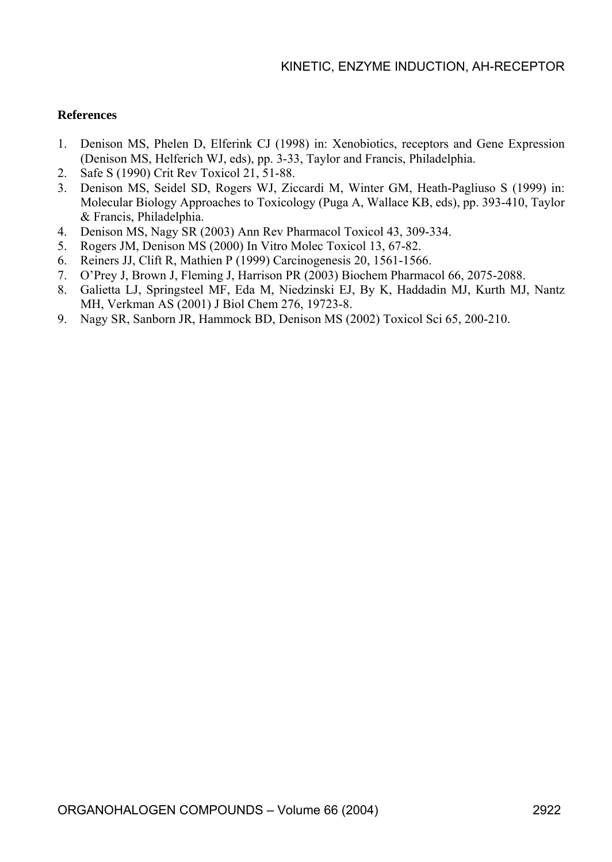#### **References**

- 1. Denison MS, Phelen D, Elferink CJ (1998) in: Xenobiotics, receptors and Gene Expression (Denison MS, Helferich WJ, eds), pp. 3-33, Taylor and Francis, Philadelphia.
- 2. Safe S (1990) Crit Rev Toxicol 21, 51-88.
- 3. Denison MS, Seidel SD, Rogers WJ, Ziccardi M, Winter GM, Heath-Pagliuso S (1999) in: Molecular Biology Approaches to Toxicology (Puga A, Wallace KB, eds), pp. 393-410, Taylor & Francis, Philadelphia.
- 4. Denison MS, Nagy SR (2003) Ann Rev Pharmacol Toxicol 43, 309-334.
- 5. Rogers JM, Denison MS (2000) In Vitro Molec Toxicol 13, 67-82.
- 6. Reiners JJ, Clift R, Mathien P (1999) Carcinogenesis 20, 1561-1566.
- 7. O'Prey J, Brown J, Fleming J, Harrison PR (2003) Biochem Pharmacol 66, 2075-2088.
- 8. Galietta LJ, Springsteel MF, Eda M, Niedzinski EJ, By K, Haddadin MJ, Kurth MJ, Nantz MH, Verkman AS (2001) J Biol Chem 276, 19723-8.
- 9. Nagy SR, Sanborn JR, Hammock BD, Denison MS (2002) Toxicol Sci 65, 200-210.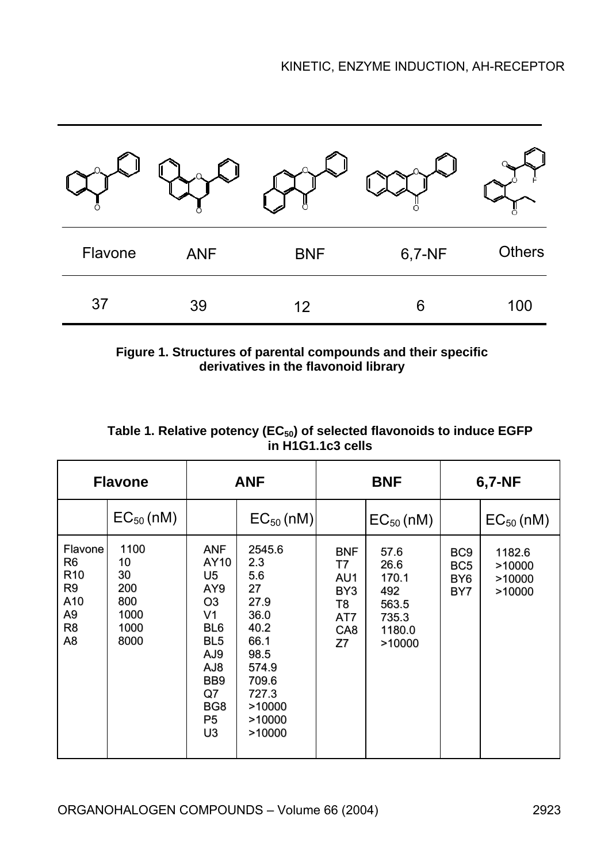| Flavone | <b>ANF</b> | <b>BNF</b> | 6,7-NF | <b>Others</b> |
|---------|------------|------------|--------|---------------|
| 37      | 39         | 12         | 6      | 100           |

**Figure 1. Structures of parental compounds and their specific derivatives in the flavonoid library** 

| <b>Flavone</b>                                      |                                                        | <b>ANF</b>                                                                                                                                              |                                                                                                                             | <b>BNF</b>                                                           |                                                                    | 6,7-NF                                                       |                                      |
|-----------------------------------------------------|--------------------------------------------------------|---------------------------------------------------------------------------------------------------------------------------------------------------------|-----------------------------------------------------------------------------------------------------------------------------|----------------------------------------------------------------------|--------------------------------------------------------------------|--------------------------------------------------------------|--------------------------------------|
|                                                     | $EC_{50}$ (nM)                                         |                                                                                                                                                         | $EC_{50}$ (nM)                                                                                                              |                                                                      | $EC_{50}$ (nM)                                                     |                                                              | $EC_{50}$ (nM)                       |
| Flavone<br>R6<br>R10<br>R9<br>A10<br>A9<br>R8<br>A8 | 1100<br>10<br>30<br>200<br>800<br>1000<br>1000<br>8000 | <b>ANF</b><br>AY10<br>U5<br>AY9<br>O <sub>3</sub><br>V <sub>1</sub><br>BL <sub>6</sub><br>BL <sub>5</sub><br>AJ9<br>8LA<br>BB9<br>Q7<br>BG8<br>P5<br>U3 | 2545.6<br>2.3<br>5.6<br>27<br>27.9<br>36.0<br>40.2<br>66.1<br>98.5<br>574.9<br>709.6<br>727.3<br>>10000<br>>10000<br>>10000 | <b>BNF</b><br>T7<br>AU1<br>BY3<br>T8<br>AT7<br>CA <sub>8</sub><br>Z7 | 57.6<br>26.6<br>170.1<br>492<br>563.5<br>735.3<br>1180.0<br>>10000 | BC <sub>9</sub><br>BC <sub>5</sub><br>BY <sub>6</sub><br>BY7 | 1182.6<br>>10000<br>>10000<br>>10000 |

Table 1. Relative potency (EC<sub>50</sub>) of selected flavonoids to induce EGFP **in H1G1.1c3 cells**